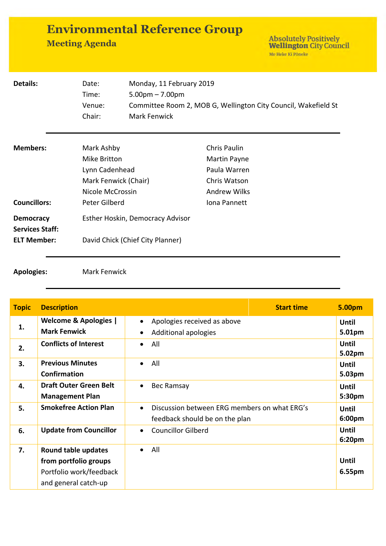| <b>Environmental Reference Group</b> |  |
|--------------------------------------|--|
| <b>Meeting Agenda</b>                |  |

Absolutely Positively<br>Wellington City Council<br>Me Heke Ki Pôneke

| Details:                                                         | Date:<br>Time:<br>Venue:<br>Chair:                                                       | Monday, 11 February 2019<br>$5.00pm - 7.00pm$<br>Committee Room 2, MOB G, Wellington City Council, Wakefield St<br><b>Mark Fenwick</b> |                                                                                            |
|------------------------------------------------------------------|------------------------------------------------------------------------------------------|----------------------------------------------------------------------------------------------------------------------------------------|--------------------------------------------------------------------------------------------|
| <b>Members:</b>                                                  | Mark Ashby<br>Mike Britton<br>Lynn Cadenhead<br>Mark Fenwick (Chair)<br>Nicole McCrossin |                                                                                                                                        | <b>Chris Paulin</b><br>Martin Payne<br>Paula Warren<br>Chris Watson<br><b>Andrew Wilks</b> |
| <b>Councillors:</b>                                              | Peter Gilberd                                                                            |                                                                                                                                        | Iona Pannett                                                                               |
| <b>Democracy</b><br><b>Services Staff:</b><br><b>ELT Member:</b> |                                                                                          | Esther Hoskin, Democracy Advisor<br>David Chick (Chief City Planner)                                                                   |                                                                                            |

**Apologies:** Mark Fenwick

| <b>Topic</b> | <b>Description</b>                                                                              | <b>Start time</b>                                                                           | 5.00pm                 |
|--------------|-------------------------------------------------------------------------------------------------|---------------------------------------------------------------------------------------------|------------------------|
| 1.           | <b>Welcome &amp; Apologies  </b><br><b>Mark Fenwick</b>                                         | Apologies received as above<br>$\bullet$<br>Additional apologies                            | <b>Until</b><br>5.01pm |
| 2.           | <b>Conflicts of Interest</b>                                                                    | All<br>$\bullet$                                                                            | Until<br>5.02pm        |
| 3.           | <b>Previous Minutes</b><br><b>Confirmation</b>                                                  | All<br>$\bullet$                                                                            | <b>Until</b><br>5.03pm |
| 4.           | <b>Draft Outer Green Belt</b><br><b>Management Plan</b>                                         | Bec Ramsay<br>$\bullet$                                                                     | <b>Until</b><br>5:30pm |
| 5.           | <b>Smokefree Action Plan</b>                                                                    | Discussion between ERG members on what ERG's<br>$\bullet$<br>feedback should be on the plan | Until<br>6:00pm        |
| 6.           | <b>Update from Councillor</b>                                                                   | <b>Councillor Gilberd</b><br>$\bullet$                                                      | <b>Until</b><br>6:20pm |
| 7.           | Round table updates<br>from portfolio groups<br>Portfolio work/feedback<br>and general catch-up | All<br>$\bullet$                                                                            | Until<br>6.55pm        |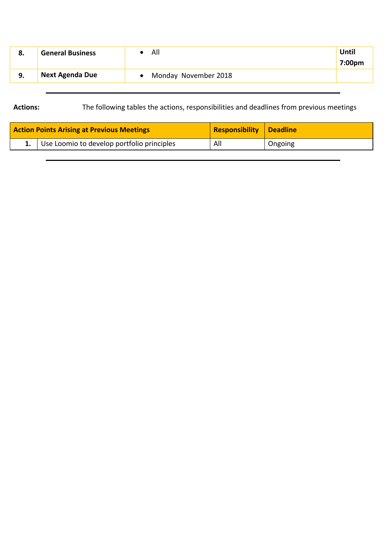| о. | <b>General Business</b> | All                  | Until<br>7:00pm |
|----|-------------------------|----------------------|-----------------|
|    | <b>Next Agenda Due</b>  | Monday November 2018 |                 |

## **Actions:** The following tables the actions, responsibilities and deadlines from previous meetings

| <b>Action Points Arising at Previous Meetings</b> | <b>Responsibility Deadline</b> |         |
|---------------------------------------------------|--------------------------------|---------|
| 1. Use Loomio to develop portfolio principles     | All                            | Ongoing |